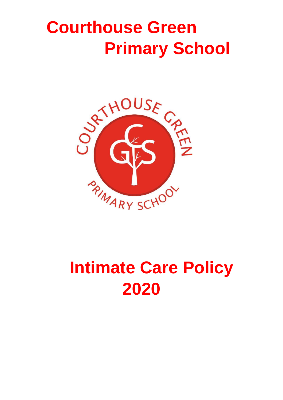# **Courthouse Green Primary School**



## **Intimate Care Policy 2020**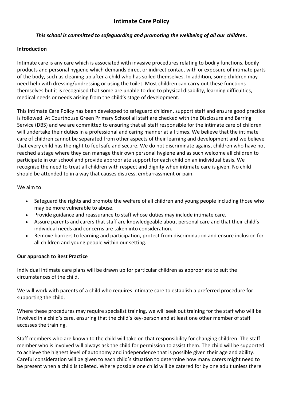## *This school is committed to safeguarding and promoting the wellbeing of all our children.*

## **Introduction**

Intimate care is any care which is associated with invasive procedures relating to bodily functions, bodily products and personal hygiene which demands direct or indirect contact with or exposure of intimate parts of the body, such as cleaning up after a child who has soiled themselves. In addition, some children may need help with dressing/undressing or using the toilet. Most children can carry out these functions themselves but it is recognised that some are unable to due to physical disability, learning difficulties, medical needs or needs arising from the child's stage of development.

This Intimate Care Policy has been developed to safeguard children, support staff and ensure good practice is followed. At Courthouse Green Primary School all staff are checked with the Disclosure and Barring Service (DBS) and we are committed to ensuring that all staff responsible for the intimate care of children will undertake their duties in a professional and caring manner at all times. We believe that the intimate care of children cannot be separated from other aspects of their learning and development and we believe that every child has the right to feel safe and secure. We do not discriminate against children who have not reached a stage where they can manage their own personal hygiene and as such welcome all children to participate in our school and provide appropriate support for each child on an individual basis. We recognise the need to treat all children with respect and dignity when intimate care is given. No child should be attended to in a way that causes distress, embarrassment or pain.

We aim to:

- Safeguard the rights and promote the welfare of all children and young people including those who may be more vulnerable to abuse.
- Provide guidance and reassurance to staff whose duties may include intimate care.
- Assure parents and carers that staff are knowledgeable about personal care and that their child's individual needs and concerns are taken into consideration.
- Remove barriers to learning and participation, protect from discrimination and ensure inclusion for all children and young people within our setting.

## **Our approach to Best Practice**

Individual intimate care plans will be drawn up for particular children as appropriate to suit the circumstances of the child.

We will work with parents of a child who requires intimate care to establish a preferred procedure for supporting the child.

Where these procedures may require specialist training, we will seek out training for the staff who will be involved in a child's care, ensuring that the child's key-person and at least one other member of staff accesses the training.

Staff members who are known to the child will take on that responsibility for changing children. The staff member who is involved will always ask the child for permission to assist them. The child will be supported to achieve the highest level of autonomy and independence that is possible given their age and ability. Careful consideration will be given to each child's situation to determine how many carers might need to be present when a child is toileted. Where possible one child will be catered for by one adult unless there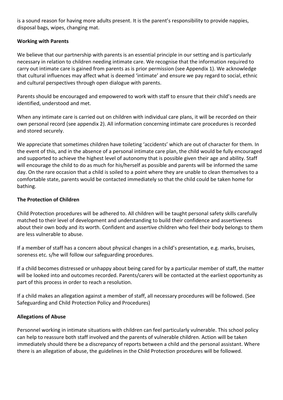is a sound reason for having more adults present. It is the parent's responsibility to provide nappies, disposal bags, wipes, changing mat.

### **Working with Parents**

We believe that our partnership with parents is an essential principle in our setting and is particularly necessary in relation to children needing intimate care. We recognise that the information required to carry out intimate care is gained from parents as is prior permission (see Appendix 1). We acknowledge that cultural influences may affect what is deemed 'intimate' and ensure we pay regard to social, ethnic and cultural perspectives through open dialogue with parents.

Parents should be encouraged and empowered to work with staff to ensure that their child's needs are identified, understood and met.

When any intimate care is carried out on children with individual care plans, it will be recorded on their own personal record (see appendix 2). All information concerning intimate care procedures is recorded and stored securely.

We appreciate that sometimes children have toileting 'accidents' which are out of character for them. In the event of this, and in the absence of a personal intimate care plan, the child would be fully encouraged and supported to achieve the highest level of autonomy that is possible given their age and ability. Staff will encourage the child to do as much for his/herself as possible and parents will be informed the same day. On the rare occasion that a child is soiled to a point where they are unable to clean themselves to a comfortable state, parents would be contacted immediately so that the child could be taken home for bathing.

### **The Protection of Children**

Child Protection procedures will be adhered to. All children will be taught personal safety skills carefully matched to their level of development and understanding to build their confidence and assertiveness about their own body and its worth. Confident and assertive children who feel their body belongs to them are less vulnerable to abuse.

If a member of staff has a concern about physical changes in a child's presentation, e.g. marks, bruises, soreness etc. s/he will follow our safeguarding procedures.

If a child becomes distressed or unhappy about being cared for by a particular member of staff, the matter will be looked into and outcomes recorded. Parents/carers will be contacted at the earliest opportunity as part of this process in order to reach a resolution.

If a child makes an allegation against a member of staff, all necessary procedures will be followed. (See Safeguarding and Child Protection Policy and Procedures)

## **Allegations of Abuse**

Personnel working in intimate situations with children can feel particularly vulnerable. This school policy can help to reassure both staff involved and the parents of vulnerable children. Action will be taken immediately should there be a discrepancy of reports between a child and the personal assistant. Where there is an allegation of abuse, the guidelines in the Child Protection procedures will be followed.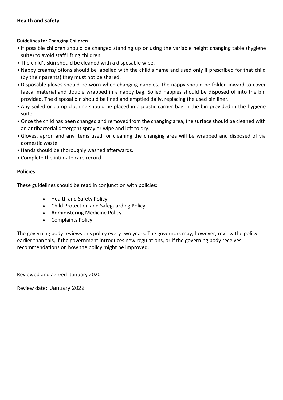#### **Health and Safety**

#### **Guidelines for Changing Children**

- If possible children should be changed standing up or using the variable height changing table (hygiene suite) to avoid staff lifting children.
- The child's skin should be cleaned with a disposable wipe.
- Nappy creams/lotions should be labelled with the child's name and used only if prescribed for that child (by their parents) they must not be shared.
- Disposable gloves should be worn when changing nappies. The nappy should be folded inward to cover faecal material and double wrapped in a nappy bag. Soiled nappies should be disposed of into the bin provided. The disposal bin should be lined and emptied daily, replacing the used bin liner.
- Any soiled or damp clothing should be placed in a plastic carrier bag in the bin provided in the hygiene suite.
- Once the child has been changed and removed from the changing area, the surface should be cleaned with an antibacterial detergent spray or wipe and left to dry.
- Gloves, apron and any items used for cleaning the changing area will be wrapped and disposed of via domestic waste.
- Hands should be thoroughly washed afterwards.
- Complete the intimate care record.

#### **Policies**

These guidelines should be read in conjunction with policies:

- Health and Safety Policy
- Child Protection and Safeguarding Policy
- Administering Medicine Policy
- Complaints Policy

The governing body reviews this policy every two years. The governors may, however, review the policy earlier than this, if the government introduces new regulations, or if the governing body receives recommendations on how the policy might be improved.

Reviewed and agreed: January 2020

Review date: January 2022